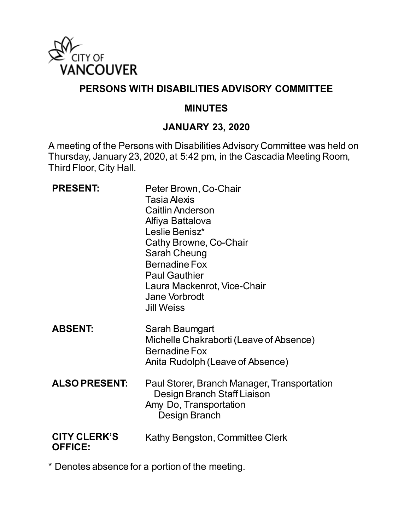

## **PERSONS WITH DISABILITIES ADVISORY COMMITTEE**

#### **MINUTES**

#### **JANUARY 23, 2020**

A meeting of the Persons with Disabilities Advisory Committee was held on Thursday, January 23, 2020, at 5:42 pm, in the Cascadia Meeting Room, Third Floor, City Hall.

| <b>PRESENT:</b>                       | Peter Brown, Co-Chair<br><b>Tasia Alexis</b><br><b>Caitlin Anderson</b><br>Alfiya Battalova<br>Leslie Benisz*<br>Cathy Browne, Co-Chair<br>Sarah Cheung<br><b>Bernadine Fox</b><br><b>Paul Gauthier</b><br>Laura Mackenrot, Vice-Chair<br><b>Jane Vorbrodt</b><br>Jill Weiss |
|---------------------------------------|------------------------------------------------------------------------------------------------------------------------------------------------------------------------------------------------------------------------------------------------------------------------------|
| <b>ABSENT:</b>                        | Sarah Baumgart<br>Michelle Chakraborti (Leave of Absence)<br><b>Bernadine Fox</b><br>Anita Rudolph (Leave of Absence)                                                                                                                                                        |
| <b>ALSO PRESENT:</b>                  | Paul Storer, Branch Manager, Transportation<br>Design Branch Staff Liaison<br>Amy Do, Transportation<br>Design Branch                                                                                                                                                        |
| <b>CITY CLERK'S</b><br><b>OFFICE:</b> | Kathy Bengston, Committee Clerk                                                                                                                                                                                                                                              |

\* Denotes absence for a portion of the meeting.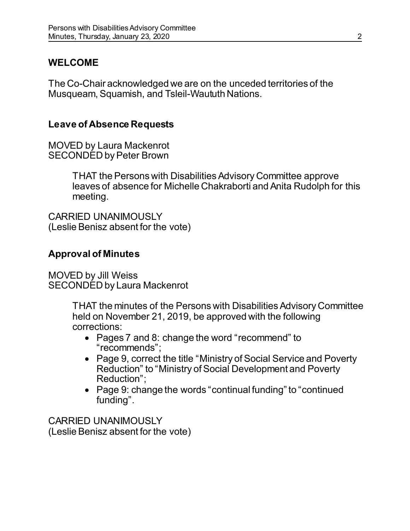# **WELCOME**

The Co-Chair acknowledged we are on the unceded territories of the Musqueam, Squamish, and Tsleil-Waututh Nations.

## **Leave of Absence Requests**

MOVED by Laura Mackenrot SECONDED by Peter Brown

> THAT the Persons with Disabilities Advisory Committee approve leaves of absence for Michelle Chakraborti and Anita Rudolph for this meeting.

CARRIED UNANIMOUSLY (Leslie Benisz absent for the vote)

# **Approval of Minutes**

MOVED by Jill Weiss SECONDED by Laura Mackenrot

> THAT the minutes of the Persons with Disabilities Advisory Committee held on November 21, 2019, be approved with the following corrections:

- Pages 7 and 8: change the word "recommend" to "recommends";
- Page 9, correct the title "Ministry of Social Service and Poverty Reduction" to "Ministry of Social Development and Poverty Reduction";
- Page 9: change the words "continual funding" to "continued funding".

CARRIED UNANIMOUSLY (Leslie Benisz absent for the vote)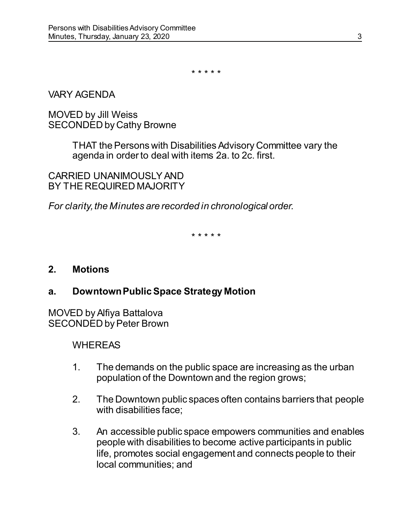\* \* \* \* \*

#### VARY AGENDA

#### MOVED by Jill Weiss SECONDED by Cathy Browne

THAT the Persons with Disabilities Advisory Committee vary the agenda in order to deal with items 2a. to 2c. first.

CARRIED UNANIMOUSLY AND BY THE REQUIRED MAJORITY

*For clarity, the Minutes are recorded in chronological order.* 

\* \* \* \* \*

#### **2. Motions**

### **a. Downtown Public Space Strategy Motion**

MOVED by Alfiya Battalova SECONDED by Peter Brown

- 1. The demands on the public space are increasing as the urban population of the Downtown and the region grows;
- 2. The Downtown public spaces often contains barriers that people with disabilities face;
- 3. An accessible public space empowers communities and enables people with disabilities to become active participants in public life, promotes social engagement and connects people to their local communities; and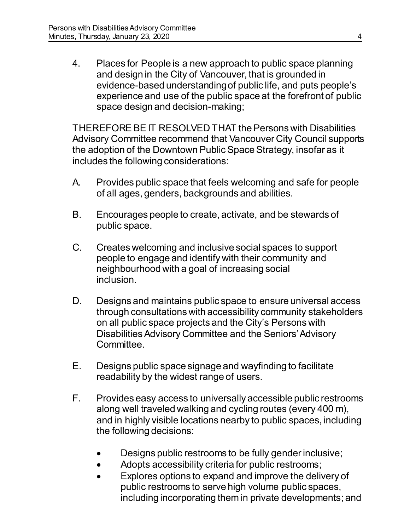4. Places for People is a new approach to public space planning and design in the City of Vancouver, that is grounded in evidence-based understanding of public life, and puts people's experience and use of the public space at the forefront of public space design and decision-making;

THEREFORE BE IT RESOLVED THAT the Persons with Disabilities Advisory Committee recommend that Vancouver City Council supports the adoption of the Downtown Public Space Strategy, insofar as it includes the following considerations:

- A. Provides public space that feels welcoming and safe for people of all ages, genders, backgrounds and abilities.
- B. Encourages people to create, activate, and be stewards of public space.
- C. Creates welcoming and inclusive social spaces to support people to engage and identify with their community and neighbourhood with a goal of increasing social inclusion.
- D. Designs and maintains public space to ensure universal access through consultations with accessibility community stakeholders on all public space projects and the City's Persons with Disabilities Advisory Committee and the Seniors' Advisory Committee.
- E. Designs public space signage and wayfinding to facilitate readability by the widest range of users.
- F. Provides easy access to universally accessible public restrooms along well traveled walking and cycling routes (every 400 m), and in highly visible locations nearby to public spaces, including the following decisions:
	- Designs public restrooms to be fully gender inclusive;
	- Adopts accessibility criteria for public restrooms;
	- Explores options to expand and improve the delivery of public restrooms to serve high volume public spaces, including incorporating them in private developments; and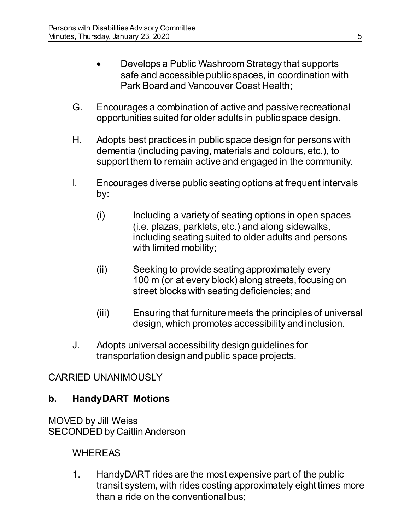- Develops a Public Washroom Strategy that supports safe and accessible public spaces, in coordination with Park Board and Vancouver Coast Health;
- G. Encourages a combination of active and passive recreational opportunities suited for older adults in public space design.
- H. Adopts best practices in public space design for persons with dementia (including paving, materials and colours, etc.), to support them to remain active and engaged in the community.
- I. Encourages diverse public seating options at frequent intervals by:
	- (i) Including a variety of seating options in open spaces (i.e. plazas, parklets, etc.) and along sidewalks, including seating suited to older adults and persons with limited mobility;
	- (ii) Seeking to provide seating approximately every 100 m (or at every block) along streets, focusing on street blocks with seating deficiencies; and
	- (iii) Ensuring that furniture meets the principles of universal design, which promotes accessibility and inclusion.
- J. Adopts universal accessibility design guidelines for transportation design and public space projects.

### CARRIED UNANIMOUSLY

# **b. HandyDART Motions**

MOVED by Jill Weiss SECONDED by Caitlin Anderson

# WHEREAS

1. HandyDART rides are the most expensive part of the public transit system, with rides costing approximately eight times more than a ride on the conventional bus;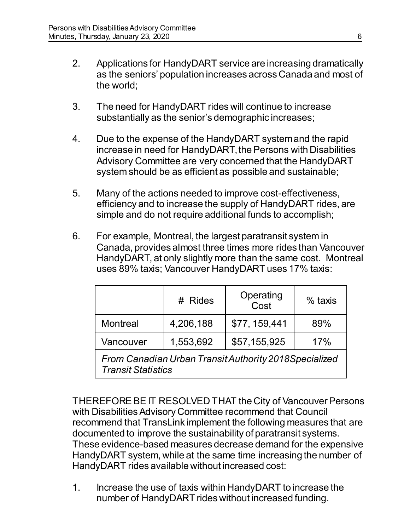- 2. Applications for HandyDART service are increasing dramatically as the seniors' population increases across Canada and most of the world;
- 3. The need for HandyDART rides will continue to increase substantially as the senior's demographic increases;
- 4. Due to the expense of the HandyDART system and the rapid increase in need for HandyDART, the Persons with Disabilities Advisory Committee are very concerned that the HandyDART system should be as efficient as possible and sustainable;
- 5. Many of the actions needed to improve cost-effectiveness, efficiency and to increase the supply of HandyDART rides, are simple and do not require additional funds to accomplish;
- 6. For example, Montreal, the largest paratransit system in Canada, provides almost three times more rides than Vancouver HandyDART, at only slightly more than the same cost. Montreal uses 89% taxis; Vancouver HandyDART uses 17% taxis:

|                 | # Rides   | Operating<br>Cost | $%$ taxis |
|-----------------|-----------|-------------------|-----------|
| <b>Montreal</b> | 4,206,188 | \$77, 159, 441    | 89%       |
| Vancouver       | 1,553,692 | \$57,155,925      | 17%       |

*From Canadian Urban Transit Authority 2018Specialized Transit Statistics*

THEREFORE BE IT RESOLVED THAT the City of Vancouver Persons with Disabilities Advisory Committee recommend that Council recommend that TransLink implement the following measures that are documented to improve the sustainability of paratransit systems. These evidence-based measures decrease demand for the expensive HandyDART system, while at the same time increasing the number of HandyDART rides available without increased cost:

1. Increase the use of taxis within HandyDART to increase the number of HandyDART rides without increased funding.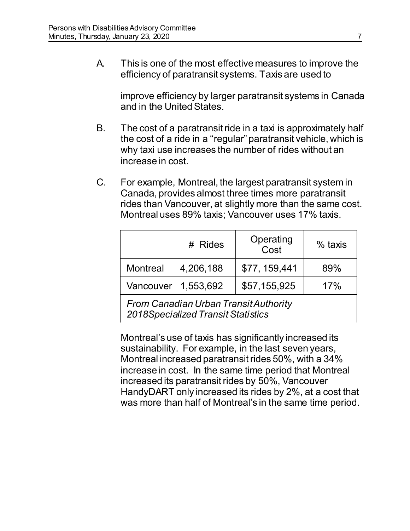A. This is one of the most effective measures to improve the efficiency of paratransit systems. Taxis are used to

improve efficiency by larger paratransit systems in Canada and in the United States.

- B. The cost of a paratransit ride in a taxi is approximately half the cost of a ride in a "regular" paratransit vehicle, which is why taxi use increases the number of rides without an increase in cost.
- C. For example, Montreal, the largest paratransit system in Canada, provides almost three times more paratransit rides than Vancouver, at slightly more than the same cost. Montreal uses 89% taxis; Vancouver uses 17% taxis.

|                                                                                    | # Rides             | Operating<br>Cost | $%$ taxis |
|------------------------------------------------------------------------------------|---------------------|-------------------|-----------|
| <b>Montreal</b>                                                                    | 4,206,188           | \$77, 159, 441    | 89%       |
|                                                                                    | Vancouver 1,553.692 | \$57,155,925      | 17%       |
| <b>From Canadian Urban Transit Authority</b><br>2018Specialized Transit Statistics |                     |                   |           |

Montreal's use of taxis has significantly increased its sustainability. For example, in the last seven years, Montreal increased paratransit rides 50%, with a 34% increase in cost. In the same time period that Montreal increased its paratransit rides by 50%, Vancouver HandyDART only increased its rides by 2%, at a cost that was more than half of Montreal's in the same time period.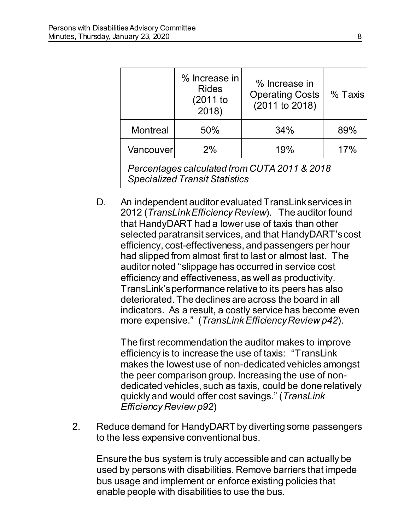|                                                                                       | % Increase in<br><b>Rides</b><br>(2011 to<br>2018) | % Increase in<br><b>Operating Costs</b><br>(2011 to 2018) | % Taxis |
|---------------------------------------------------------------------------------------|----------------------------------------------------|-----------------------------------------------------------|---------|
| <b>Montreal</b>                                                                       | 50%                                                | 34%                                                       | 89%     |
| Vancouver                                                                             | 2%                                                 | 19%                                                       | 17%     |
| Percentages calculated from CUTA 2011 & 2018<br><b>Specialized Transit Statistics</b> |                                                    |                                                           |         |

D. An independent auditor evaluated TransLink services in 2012 (*TransLink Efficiency Review*). The auditor found that HandyDART had a lower use of taxis than other selected paratransit services, and that HandyDART's cost efficiency, cost-effectiveness, and passengers per hour had slipped from almost first to last or almost last. The auditor noted "slippage has occurred in service cost efficiency and effectiveness, as well as productivity. TransLink's performance relative to its peers has also deteriorated. The declines are across the board in all indicators. As a result, a costly service has become even more expensive." (*TransLink Efficiency Review p42*).

The first recommendation the auditor makes to improve efficiency is to increase the use of taxis: "TransLink makes the lowest use of non-dedicated vehicles amongst the peer comparison group. Increasing the use of nondedicated vehicles, such as taxis, could be done relatively quickly and would offer cost savings." (*TransLink Efficiency Review p92*)

2. Reduce demand for HandyDART by diverting some passengers to the less expensive conventional bus.

 Ensure the bus system is truly accessible and can actually be used by persons with disabilities. Remove barriers that impede bus usage and implement or enforce existing policies that enable people with disabilities to use the bus.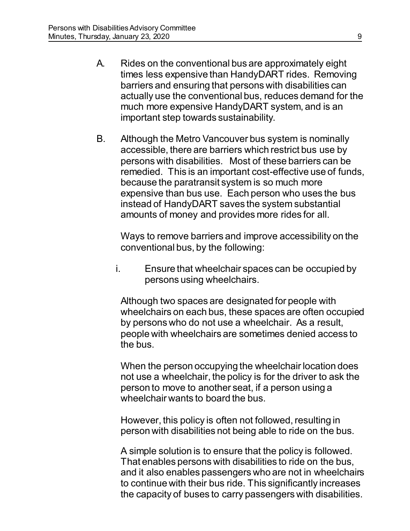- A. Rides on the conventional bus are approximately eight times less expensive than HandyDART rides. Removing barriers and ensuring that persons with disabilities can actually use the conventional bus, reduces demand for the much more expensive HandyDART system, and is an important step towards sustainability.
- B. Although the Metro Vancouver bus system is nominally accessible, there are barriers which restrict bus use by persons with disabilities. Most of these barriers can be remedied. This is an important cost-effective use of funds, because the paratransit system is so much more expensive than bus use. Each person who uses the bus instead of HandyDART saves the system substantial amounts of money and provides more rides for all.

Ways to remove barriers and improve accessibility on the conventional bus, by the following:

i. Ensure that wheelchair spaces can be occupied by persons using wheelchairs.

Although two spaces are designated for people with wheelchairs on each bus, these spaces are often occupied by persons who do not use a wheelchair. As a result, people with wheelchairs are sometimes denied access to the bus.

When the person occupying the wheelchair location does not use a wheelchair, the policy is for the driver to ask the person to move to another seat, if a person using a wheelchair wants to board the bus.

However, this policy is often not followed, resulting in person with disabilities not being able to ride on the bus.

A simple solution is to ensure that the policy is followed. That enables persons with disabilities to ride on the bus, and it also enables passengers who are not in wheelchairs to continue with their bus ride. This significantly increases the capacity of buses to carry passengers with disabilities.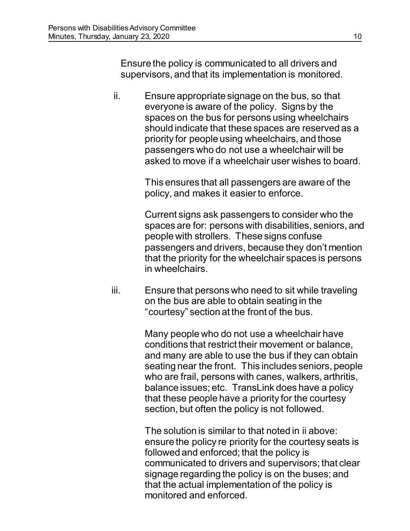Ensure the policy is communicated to all drivers and supervisors, and that its implementation is monitored.

ii. Ensure appropriate signage on the bus, so that everyone is aware of the policy. Signs by the spaces on the bus for persons using wheelchairs should indicate that these spaces are reserved as a priority for people using wheelchairs, and those passengers who do not use a wheelchair will be asked to move if a wheelchair user wishes to board.

> This ensures that all passengers are aware of the policy, and makes it easier to enforce.

 Current signs ask passengers to consider who the spaces are for: persons with disabilities, seniors, and people with strollers. These signs confuse passengers and drivers, because they don't mention that the priority for the wheelchair spaces is persons in wheelchairs.

iii. Ensure that persons who need to sit while traveling on the bus are able to obtain seating in the "courtesy" section at the front of the bus.

> Many people who do not use a wheelchair have conditions that restrict their movement or balance, and many are able to use the bus if they can obtain seating near the front. This includes seniors, people who are frail, persons with canes, walkers, arthritis, balance issues; etc. TransLink does have a policy that these people have a priority for the courtesy section, but often the policy is not followed.

> The solution is similar to that noted in ii above: ensure the policy re priority for the courtesy seats is followed and enforced; that the policy is communicated to drivers and supervisors; that clear signage regarding the policy is on the buses; and that the actual implementation of the policy is monitored and enforced.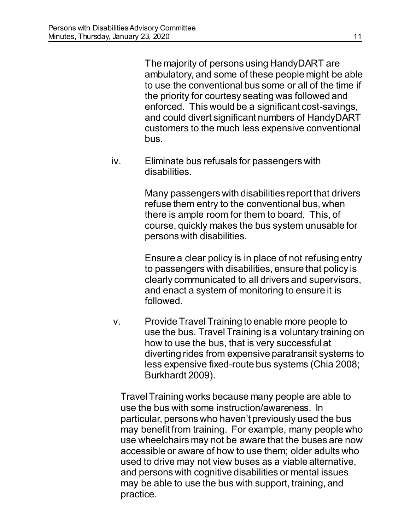The majority of persons using HandyDART are ambulatory, and some of these people might be able to use the conventional bus some or all of the time if the priority for courtesy seating was followed and enforced. This would be a significant cost-savings, and could divert significant numbers of HandyDART customers to the much less expensive conventional bus.

iv. Eliminate bus refusals for passengers with disabilities.

> Many passengers with disabilities report that drivers refuse them entry to the conventional bus, when there is ample room for them to board. This, of course, quickly makes the bus system unusable for persons with disabilities.

> Ensure a clear policy is in place of not refusing entry to passengers with disabilities, ensure that policy is clearly communicated to all drivers and supervisors, and enact a system of monitoring to ensure it is followed.

v. Provide Travel Training to enable more people to use the bus. Travel Training is a voluntary training on how to use the bus, that is very successful at diverting rides from expensive paratransit systems to less expensive fixed-route bus systems (Chia 2008; Burkhardt 2009).

Travel Training works because many people are able to use the bus with some instruction/awareness. In particular, persons who haven't previously used the bus may benefit from training. For example, many people who use wheelchairs may not be aware that the buses are now accessible or aware of how to use them; older adults who used to drive may not view buses as a viable alternative, and persons with cognitive disabilities or mental issues may be able to use the bus with support, training, and practice.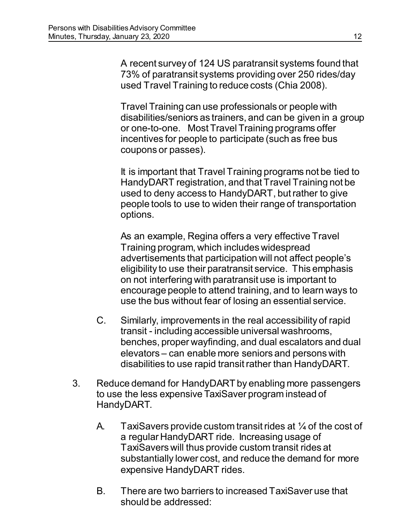A recent survey of 124 US paratransit systems found that 73% of paratransit systems providing over 250 rides/day used Travel Training to reduce costs (Chia 2008).

Travel Training can use professionals or people with disabilities/seniors as trainers, and can be given in a group or one-to-one. Most Travel Training programs offer incentives for people to participate (such as free bus coupons or passes).

It is important that Travel Training programs not be tied to HandyDART registration, and that Travel Training not be used to deny access to HandyDART, but rather to give people tools to use to widen their range of transportation options.

As an example, Regina offers a very effective Travel Training program, which includes widespread advertisements that participation will not affect people's eligibility to use their paratransit service. This emphasis on not interfering with paratransit use is important to encourage people to attend training, and to learn ways to use the bus without fear of losing an essential service.

- C. Similarly, improvements in the real accessibility of rapid transit - including accessible universal washrooms, benches, proper wayfinding, and dual escalators and dual elevators – can enable more seniors and persons with disabilities to use rapid transit rather than HandyDART.
- 3. Reduce demand for HandyDART by enabling more passengers to use the less expensive TaxiSaver program instead of HandyDART.
	- A. TaxiSavers provide custom transit rides at  $\frac{1}{4}$  of the cost of a regular HandyDART ride. Increasing usage of TaxiSavers will thus provide custom transit rides at substantially lower cost, and reduce the demand for more expensive HandyDART rides.
	- B. There are two barriers to increased TaxiSaver use that should be addressed: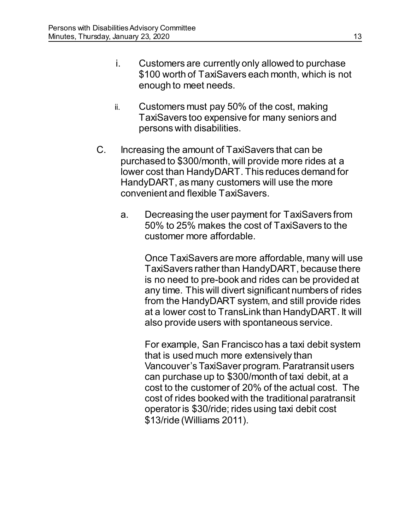- i. Customers are currently only allowed to purchase \$100 worth of TaxiSavers each month, which is not enough to meet needs.
- ii. Customers must pay 50% of the cost, making TaxiSavers too expensive for many seniors and persons with disabilities.
- C. Increasing the amount of TaxiSavers that can be purchased to \$300/month, will provide more rides at a lower cost than HandyDART. This reduces demand for HandyDART, as many customers will use the more convenient and flexible TaxiSavers.
	- a. Decreasing the user payment for TaxiSavers from 50% to 25% makes the cost of TaxiSavers to the customer more affordable.

Once TaxiSavers are more affordable, many will use TaxiSavers rather than HandyDART, because there is no need to pre-book and rides can be provided at any time. This will divert significant numbers of rides from the HandyDART system, and still provide rides at a lower cost to TransLink than HandyDART. It will also provide users with spontaneous service.

For example, San Francisco has a taxi debit system that is used much more extensively than Vancouver's TaxiSaver program. Paratransit users can purchase up to \$300/month of taxi debit, at a cost to the customer of 20% of the actual cost. The cost of rides booked with the traditional paratransit operator is \$30/ride; rides using taxi debit cost \$13/ride (Williams 2011).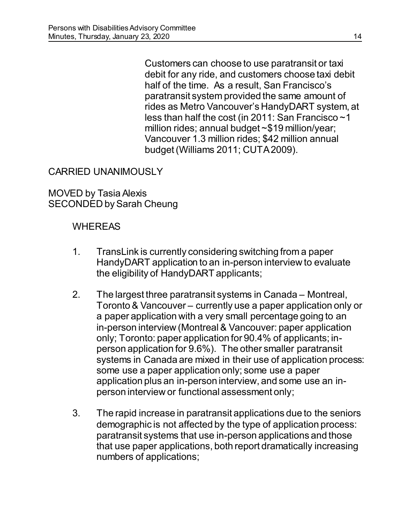Customers can choose to use paratransit or taxi debit for any ride, and customers choose taxi debit half of the time. As a result, San Francisco's paratransit system provided the same amount of rides as Metro Vancouver's HandyDART system, at less than half the cost (in 2011: San Francisco ~1 million rides; annual budget ~\$19 million/year; Vancouver 1.3 million rides; \$42 million annual budget (Williams 2011; CUTA 2009).

### CARRIED UNANIMOUSLY

MOVED by Tasia Alexis SECONDED by Sarah Cheung

- 1. TransLink is currently considering switching from a paper HandyDART application to an in-person interview to evaluate the eligibility of HandyDART applicants;
- 2. The largest three paratransit systems in Canada Montreal, Toronto & Vancouver – currently use a paper application only or a paper application with a very small percentage going to an in-person interview (Montreal & Vancouver: paper application only; Toronto: paper application for 90.4% of applicants; inperson application for 9.6%). The other smaller paratransit systems in Canada are mixed in their use of application process: some use a paper application only; some use a paper application plus an in-person interview, and some use an inperson interview or functional assessment only;
- 3. The rapid increase in paratransit applications due to the seniors demographic is not affected by the type of application process: paratransit systems that use in-person applications and those that use paper applications, both report dramatically increasing numbers of applications;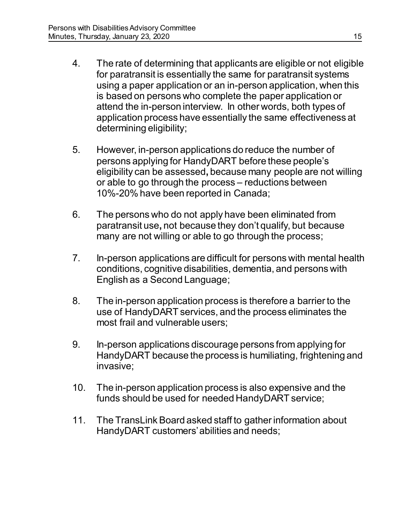- 4. The rate of determining that applicants are eligible or not eligible for paratransit is essentially the same for paratransit systems using a paper application or an in-person application, when this is based on persons who complete the paper application or attend the in-person interview. In other words, both types of application process have essentially the same effectiveness at determining eligibility;
- 5. However, in-person applications do reduce the number of persons applying for HandyDART before these people's eligibility can be assessed**,** because many people are not willing or able to go through the process – reductions between 10%-20% have been reported in Canada;
- 6. The persons who do not apply have been eliminated from paratransit use**,** not because they don't qualify, but because many are not willing or able to go through the process;
- 7. In-person applications are difficult for persons with mental health conditions, cognitive disabilities, dementia, and persons with English as a Second Language;
- 8. The in-person application process is therefore a barrier to the use of HandyDART services, and the process eliminates the most frail and vulnerable users;
- 9. In-person applications discourage persons from applying for HandyDART because the process is humiliating, frightening and invasive;
- 10. The in-person application process is also expensive and the funds should be used for needed HandyDART service;
- 11. The TransLink Board asked staff to gather information about HandyDART customers' abilities and needs;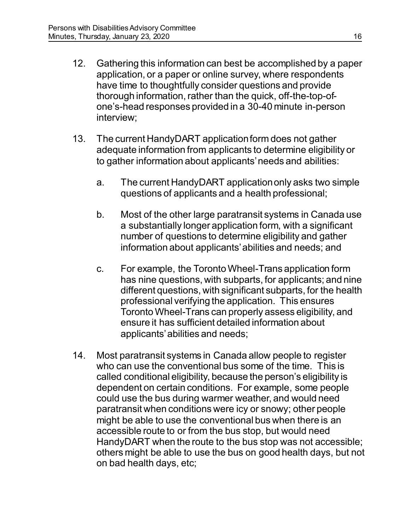- 12. Gathering this information can best be accomplished by a paper application, or a paper or online survey, where respondents have time to thoughtfully consider questions and provide thorough information, rather than the quick, off-the-top-ofone's-head responses provided in a 30-40 minute in-person interview;
- 13. The current HandyDART application form does not gather adequate information from applicants to determine eligibility or to gather information about applicants' needs and abilities:
	- a. The current HandyDART application only asks two simple questions of applicants and a health professional;
	- b. Most of the other large paratransit systems in Canada use a substantially longer application form, with a significant number of questions to determine eligibility and gather information about applicants' abilities and needs; and
	- c. For example, the Toronto Wheel-Trans application form has nine questions, with subparts, for applicants; and nine different questions, with significant subparts, for the health professional verifying the application. This ensures Toronto Wheel-Trans can properly assess eligibility, and ensure it has sufficient detailed information about applicants' abilities and needs;
- 14. Most paratransit systems in Canada allow people to register who can use the conventional bus some of the time. This is called conditional eligibility, because the person's eligibility is dependent on certain conditions. For example, some people could use the bus during warmer weather, and would need paratransit when conditions were icy or snowy; other people might be able to use the conventional bus when there is an accessible route to or from the bus stop, but would need HandyDART when the route to the bus stop was not accessible; others might be able to use the bus on good health days, but not on bad health days, etc;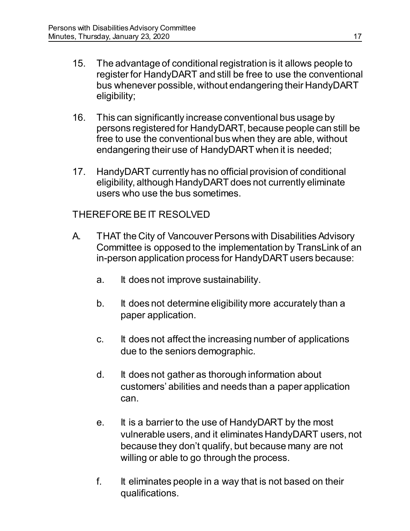- 15. The advantage of conditional registration is it allows people to register for HandyDART and still be free to use the conventional bus whenever possible, without endangering their HandyDART eligibility;
- 16. This can significantly increase conventional bus usage by persons registered for HandyDART, because people can still be free to use the conventional bus when they are able, without endangering their use of HandyDART when it is needed;
- 17. HandyDART currently has no official provision of conditional eligibility, although HandyDART does not currently eliminate users who use the bus sometimes.

#### THEREFORE BE IT RESOLVED

- A. THAT the City of Vancouver Persons with Disabilities Advisory Committee is opposed to the implementation by TransLink of an in-person application process for HandyDART users because:
	- a. It does not improve sustainability.
	- b. It does not determine eligibility more accurately than a paper application.
	- c. It does not affect the increasing number of applications due to the seniors demographic.
	- d. It does not gather as thorough information about customers' abilities and needs than a paper application can.
	- e. It is a barrier to the use of HandyDART by the most vulnerable users, and it eliminates HandyDART users, not because they don't qualify, but because many are not willing or able to go through the process.
	- f. It eliminates people in a way that is not based on their qualifications.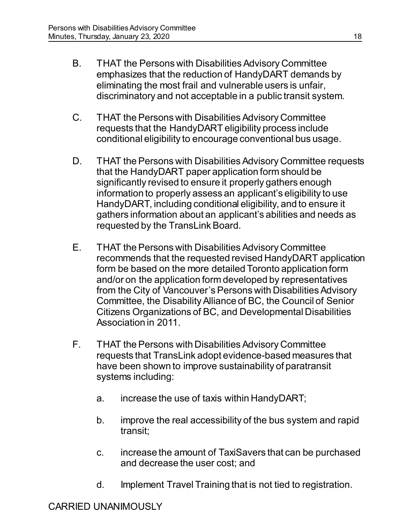- B. THAT the Persons with Disabilities Advisory Committee emphasizes that the reduction of HandyDART demands by eliminating the most frail and vulnerable users is unfair, discriminatory and not acceptable in a public transit system.
- C. THAT the Persons with Disabilities Advisory Committee requests that the HandyDART eligibility process include conditional eligibility to encourage conventional bus usage.
- D. THAT the Persons with Disabilities Advisory Committee requests that the HandyDART paper application form should be significantly revised to ensure it properly gathers enough information to properly assess an applicant's eligibility to use HandyDART, including conditional eligibility, and to ensure it gathers information about an applicant's abilities and needs as requested by the TransLink Board.
- E. THAT the Persons with Disabilities Advisory Committee recommends that the requested revised HandyDART application form be based on the more detailed Toronto application form and/or on the application form developed by representatives from the City of Vancouver's Persons with Disabilities Advisory Committee, the Disability Alliance of BC, the Council of Senior Citizens Organizations of BC, and Developmental Disabilities Association in 2011.
- F. THAT the Persons with Disabilities Advisory Committee requests that TransLink adopt evidence-based measures that have been shown to improve sustainability of paratransit systems including:
	- a. increase the use of taxis within HandyDART;
	- b. improve the real accessibility of the bus system and rapid transit;
	- c. increase the amount of TaxiSavers that can be purchased and decrease the user cost; and
	- d. Implement Travel Training that is not tied to registration.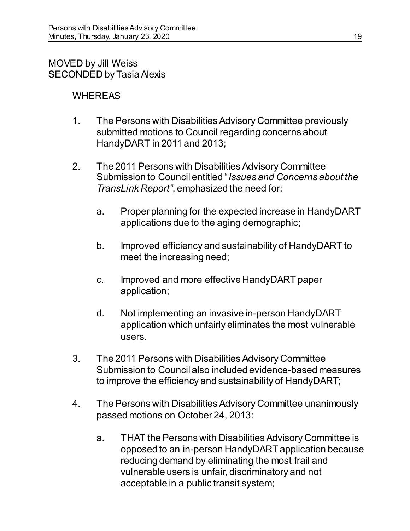# MOVED by Jill Weiss SECONDED by Tasia Alexis

- 1. The Persons with Disabilities Advisory Committee previously submitted motions to Council regarding concerns about HandyDART in 2011 and 2013;
- 2. The 2011 Persons with Disabilities Advisory Committee Submission to Council entitled "*Issues and Concerns about the TransLink Report"*, emphasized the need for:
	- a. Proper planning for the expected increase in HandyDART applications due to the aging demographic;
	- b. Improved efficiency and sustainability of HandyDART to meet the increasing need;
	- c. Improved and more effective HandyDART paper application;
	- d. Not implementing an invasive in-person HandyDART application which unfairly eliminates the most vulnerable users.
- 3. The 2011 Persons with Disabilities Advisory Committee Submission to Council also included evidence-based measures to improve the efficiency and sustainability of HandyDART;
- 4. The Persons with Disabilities Advisory Committee unanimously passed motions on October 24, 2013:
	- a. THAT the Persons with Disabilities Advisory Committee is opposed to an in-person HandyDART application because reducing demand by eliminating the most frail and vulnerable users is unfair, discriminatory and not acceptable in a public transit system;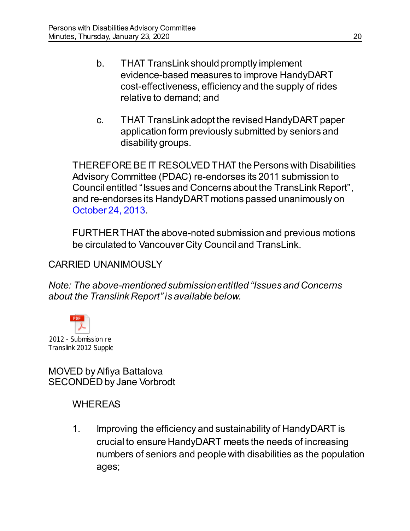- b. THAT TransLink should promptly implement evidence-based measures to improve HandyDART cost-effectiveness, efficiency and the supply of rides relative to demand; and
- c. THAT TransLink adopt the revised HandyDART paper application form previously submitted by seniors and disability groups.

THEREFORE BE IT RESOLVED THAT the Persons with Disabilities Advisory Committee (PDAC) re-endorses its 2011 submission to Council entitled "Issues and Concerns about the TransLink Report", and re-endorses its HandyDART motions passed unanimously on [October 24, 2013.](https://vancouver.ca/docs/council/pdad20131024min.pdf)

FURTHER THAT the above-noted submission and previous motions be circulated to Vancouver City Council and TransLink.

## CARRIED UNANIMOUSLY

*Note: The above-mentioned submission entitled "Issues and Concerns about the Translink Report" is available below.* 



MOVED by Alfiya Battalova SECONDED by Jane Vorbrodt

### **WHEREAS**

1. Improving the efficiency and sustainability of HandyDART is crucial to ensure HandyDART meets the needs of increasing numbers of seniors and people with disabilities as the population ages;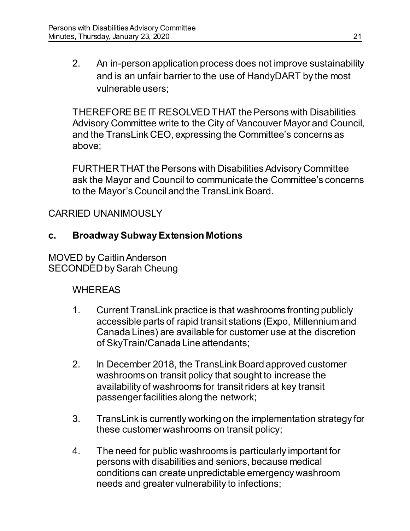2. An in-person application process does not improve sustainability and is an unfair barrier to the use of HandyDART by the most vulnerable users;

THEREFORE BE IT RESOLVED THAT the Persons with Disabilities Advisory Committee write to the City of Vancouver Mayor and Council, and the TransLink CEO, expressing the Committee's concerns as above;

FURTHER THAT the Persons with Disabilities Advisory Committee ask the Mayor and Council to communicate the Committee's concerns to the Mayor's Council and the TransLink Board.

## CARRIED UNANIMOUSLY

### **c. Broadway Subway Extension Motions**

MOVED by Caitlin Anderson SECONDED by Sarah Cheung

- 1. Current TransLink practice is that washrooms fronting publicly accessible parts of rapid transit stations (Expo, Millennium and Canada Lines) are available for customer use at the discretion of SkyTrain/Canada Line attendants;
- 2. In December 2018, the TransLink Board approved customer washrooms on transit policy that sought to increase the availability of washrooms for transit riders at key transit passenger facilities along the network;
- 3. TransLink is currently working on the implementation strategy for these customer washrooms on transit policy;
- 4. The need for public washrooms is particularly important for persons with disabilities and seniors, because medical conditions can create unpredictable emergency washroom needs and greater vulnerability to infections;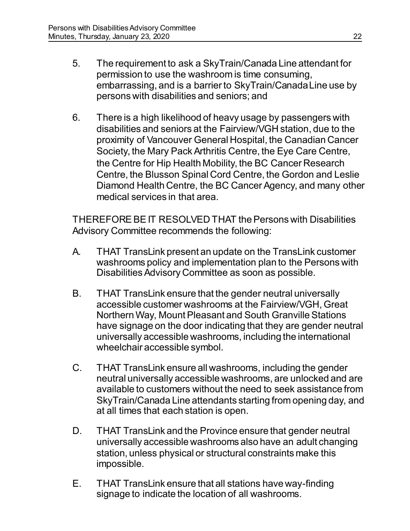- 5. The requirement to ask a SkyTrain/Canada Line attendant for permission to use the washroom is time consuming, embarrassing, and is a barrier to SkyTrain/Canada Line use by persons with disabilities and seniors; and
- 6. There is a high likelihood of heavy usage by passengers with disabilities and seniors at the Fairview/VGH station, due to the proximity of Vancouver General Hospital, the Canadian Cancer Society, the Mary Pack Arthritis Centre, the Eye Care Centre, the Centre for Hip Health Mobility, the BC Cancer Research Centre, the Blusson Spinal Cord Centre, the Gordon and Leslie Diamond Health Centre, the BC Cancer Agency, and many other medical services in that area.

THEREFORE BE IT RESOLVED THAT the Persons with Disabilities Advisory Committee recommends the following:

- A. THAT TransLink present an update on the TransLink customer washrooms policy and implementation plan to the Persons with Disabilities Advisory Committee as soon as possible.
- B. THAT TransLink ensure that the gender neutral universally accessible customer washrooms at the Fairview/VGH, Great Northern Way, Mount Pleasant and South Granville Stations have signage on the door indicating that they are gender neutral universally accessible washrooms, including the international wheelchair accessible symbol.
- C. THAT TransLink ensure all washrooms, including the gender neutral universally accessible washrooms, are unlocked and are available to customers without the need to seek assistance from SkyTrain/Canada Line attendants starting from opening day, and at all times that each station is open.
- D. THAT TransLink and the Province ensure that gender neutral universally accessible washrooms also have an adult changing station, unless physical or structural constraints make this impossible.
- E. THAT TransLink ensure that all stations have way-finding signage to indicate the location of all washrooms.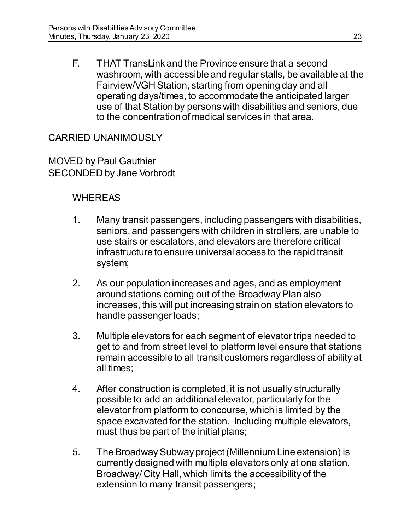F. THAT TransLink and the Province ensure that a second washroom, with accessible and regular stalls, be available at the Fairview/VGH Station, starting from opening day and all operating days/times, to accommodate the anticipated larger use of that Station by persons with disabilities and seniors, due to the concentration of medical services in that area.

## CARRIED UNANIMOUSLY

MOVED by Paul Gauthier SECONDED by Jane Vorbrodt

- 1. Many transit passengers, including passengers with disabilities, seniors, and passengers with children in strollers, are unable to use stairs or escalators, and elevators are therefore critical infrastructure to ensure universal access to the rapid transit system;
- 2. As our population increases and ages, and as employment around stations coming out of the Broadway Plan also increases, this will put increasing strain on station elevators to handle passenger loads;
- 3. Multiple elevators for each segment of elevator trips needed to get to and from street level to platform level ensure that stations remain accessible to all transit customers regardless of ability at all times;
- 4. After construction is completed, it is not usually structurally possible to add an additional elevator, particularly for the elevator from platform to concourse, which is limited by the space excavated for the station. Including multiple elevators, must thus be part of the initial plans;
- 5. The Broadway Subway project (Millennium Line extension) is currently designed with multiple elevators only at one station, Broadway/ City Hall, which limits the accessibility of the extension to many transit passengers;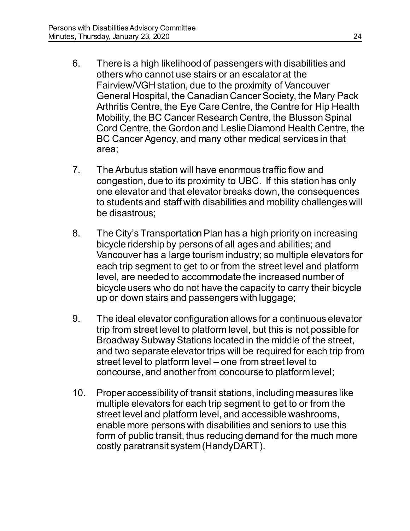- 6. There is a high likelihood of passengers with disabilities and others who cannot use stairs or an escalator at the Fairview/VGH station, due to the proximity of Vancouver General Hospital, the Canadian Cancer Society, the Mary Pack Arthritis Centre, the Eye Care Centre, the Centre for Hip Health Mobility, the BC Cancer Research Centre, the Blusson Spinal Cord Centre, the Gordon and Leslie Diamond Health Centre, the BC Cancer Agency, and many other medical services in that area;
- 7. The Arbutus station will have enormous traffic flow and congestion, due to its proximity to UBC. If this station has only one elevator and that elevator breaks down, the consequences to students and staff with disabilities and mobility challenges will be disastrous;
- 8. The City's Transportation Plan has a high priority on increasing bicycle ridership by persons of all ages and abilities; and Vancouver has a large tourism industry; so multiple elevators for each trip segment to get to or from the street level and platform level, are needed to accommodate the increased number of bicycle users who do not have the capacity to carry their bicycle up or down stairs and passengers with luggage;
- 9. The ideal elevator configuration allows for a continuous elevator trip from street level to platform level, but this is not possible for Broadway Subway Stations located in the middle of the street, and two separate elevator trips will be required for each trip from street level to platform level – one from street level to concourse, and another from concourse to platform level;
- 10. Proper accessibility of transit stations, including measures like multiple elevators for each trip segment to get to or from the street level and platform level, and accessible washrooms, enable more persons with disabilities and seniors to use this form of public transit, thus reducing demand for the much more costly paratransit system (HandyDART).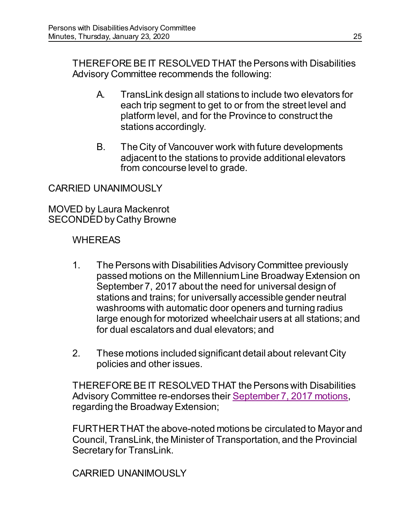THEREFORE BE IT RESOLVED THAT the Persons with Disabilities Advisory Committee recommends the following:

- A. TransLink design all stations to include two elevators for each trip segment to get to or from the street level and platform level, and for the Province to construct the stations accordingly.
- B. The City of Vancouver work with future developments adjacent to the stations to provide additional elevators from concourse level to grade.

#### CARRIED UNANIMOUSLY

MOVED by Laura Mackenrot SECONDED by Cathy Browne

#### WHEREAS

- 1. The Persons with Disabilities Advisory Committee previously passed motions on the Millennium Line Broadway Extension on September 7, 2017 about the need for universal design of stations and trains; for universally accessible gender neutral washrooms with automatic door openers and turning radius large enough for motorized wheelchair users at all stations; and for dual escalators and dual elevators; and
- 2. These motions included significant detail about relevant City policies and other issues.

THEREFORE BE IT RESOLVED THAT the Persons with Disabilities Advisory Committee re-endorses their [September 7, 2017 motions,](https://vancouver.ca/docs/council/pdad20170907min.pdf) regarding the Broadway Extension;

FURTHER THAT the above-noted motions be circulated to Mayor and Council, TransLink, the Minister of Transportation, and the Provincial Secretary for TransLink.

CARRIED UNANIMOUSLY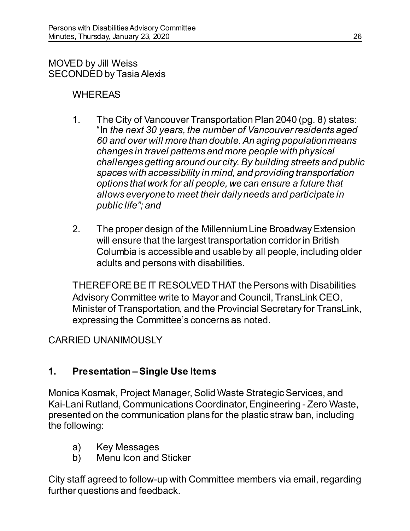MOVED by Jill Weiss SECONDED by Tasia Alexis

## WHEREAS

- 1. The City of Vancouver Transportation Plan 2040 (pg. 8) states: "In *the next 30 years, the number of Vancouver residents aged 60 and over will more than double. An aging population means changes in travel patterns and more people with physical challenges getting around our city. By building streets and public spaces with accessibility in mind, and providing transportation options that work for all people, we can ensure a future that allows everyone to meet their daily needs and participate in public life"; and*
- 2. The proper design of the Millennium Line Broadway Extension will ensure that the largest transportation corridor in British Columbia is accessible and usable by all people, including older adults and persons with disabilities.

THEREFORE BE IT RESOLVED THAT the Persons with Disabilities Advisory Committee write to Mayor and Council, TransLink CEO, Minister of Transportation, and the Provincial Secretary for TransLink, expressing the Committee's concerns as noted.

### CARRIED UNANIMOUSLY

# **1. Presentation – Single Use Items**

Monica Kosmak, Project Manager, Solid Waste Strategic Services, and Kai-Lani Rutland, Communications Coordinator, Engineering - Zero Waste, presented on the communication plans for the plastic straw ban, including the following:

- a) Key Messages
- b) Menu Icon and Sticker

City staff agreed to follow-up with Committee members via email, regarding further questions and feedback.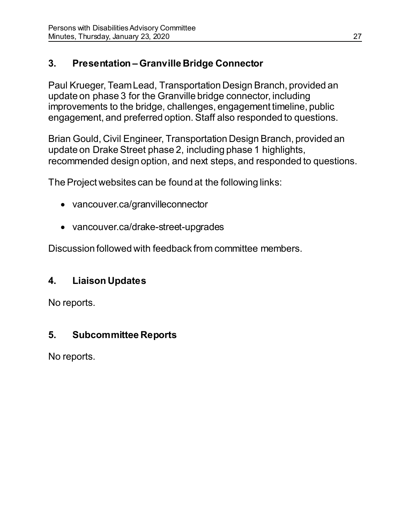# **3. Presentation – Granville Bridge Connector**

Paul Krueger, Team Lead, Transportation Design Branch, provided an update on phase 3 for the Granville bridge connector, including improvements to the bridge, challenges, engagement timeline, public engagement, and preferred option. Staff also responded to questions.

Brian Gould, Civil Engineer, Transportation Design Branch, provided an update on Drake Street phase 2, including phase 1 highlights, recommended design option, and next steps, and responded to questions.

The Project websites can be found at the following links:

- vancouver.ca/granvilleconnector
- vancouver.ca/drake-street-upgrades

Discussion followed with feedback from committee members.

# **4. Liaison Updates**

No reports.

# **5. Subcommittee Reports**

No reports.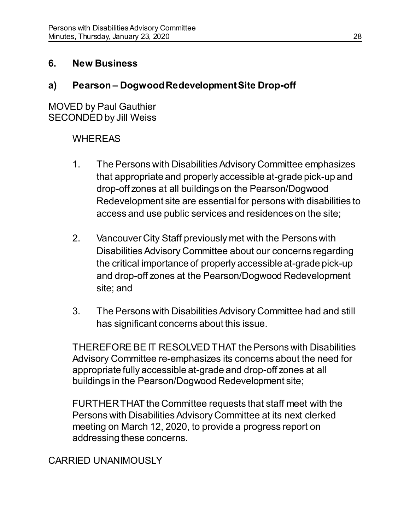## **6. New Business**

# **a) Pearson – Dogwood Redevelopment Site Drop-off**

MOVED by Paul Gauthier SECONDED by Jill Weiss

# WHEREAS

- 1. The Persons with Disabilities Advisory Committee emphasizes that appropriate and properly accessible at-grade pick-up and drop-off zones at all buildings on the Pearson/Dogwood Redevelopment site are essential for persons with disabilities to access and use public services and residences on the site;
- 2. Vancouver City Staff previously met with the Persons with Disabilities Advisory Committee about our concerns regarding the critical importance of properly accessible at-grade pick-up and drop-off zones at the Pearson/Dogwood Redevelopment site; and
- 3. The Persons with Disabilities Advisory Committee had and still has significant concerns about this issue.

THEREFORE BE IT RESOLVED THAT the Persons with Disabilities Advisory Committee re-emphasizes its concerns about the need for appropriate fully accessible at-grade and drop-off zones at all buildings in the Pearson/Dogwood Redevelopment site;

FURTHER THAT the Committee requests that staff meet with the Persons with Disabilities Advisory Committee at its next clerked meeting on March 12, 2020, to provide a progress report on addressing these concerns.

# CARRIED UNANIMOUSLY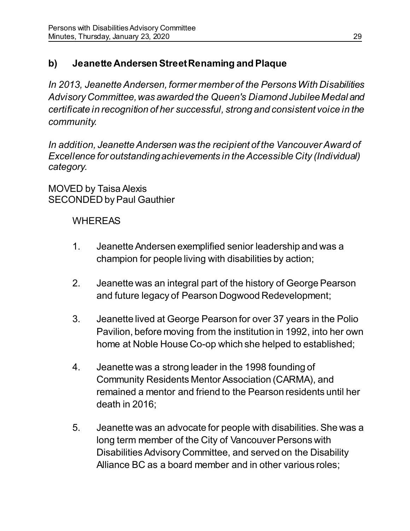# **b) Jeanette Andersen Street Renaming and Plaque**

*In 2013, Jeanette Andersen, former member of the Persons With Disabilities Advisory Committee, was awarded the Queen's Diamond Jubilee Medal and certificate in recognition of her successful, strong and consistent voice in the community.*

*In addition, Jeanette Andersen was the recipient of the Vancouver Award of Excellence for outstanding achievements in the Accessible City (Individual) category.*

MOVED by Taisa Alexis SECONDED by Paul Gauthier

- 1. Jeanette Andersen exemplified senior leadership and was a champion for people living with disabilities by action;
- 2. Jeanette was an integral part of the history of George Pearson and future legacy of Pearson Dogwood Redevelopment;
- 3. Jeanette lived at George Pearson for over 37 years in the Polio Pavilion, before moving from the institution in 1992, into her own home at Noble House Co-op which she helped to established;
- 4. Jeanette was a strong leader in the 1998 founding of Community Residents Mentor Association (CARMA), and remained a mentor and friend to the Pearson residents until her death in 2016;
- 5. Jeanette was an advocate for people with disabilities. She was a long term member of the City of Vancouver Persons with Disabilities Advisory Committee, and served on the Disability Alliance BC as a board member and in other various roles;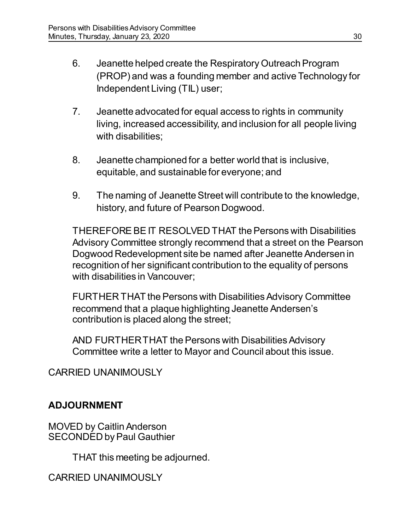- 6. Jeanette helped create the Respiratory Outreach Program (PROP) and was a founding member and active Technology for Independent Living (TIL) user;
- 7. Jeanette advocated for equal access to rights in community living, increased accessibility, and inclusion for all people living with disabilities;
- 8. Jeanette championed for a better world that is inclusive, equitable, and sustainable for everyone; and
- 9. The naming of Jeanette Street will contribute to the knowledge, history, and future of Pearson Dogwood.

THEREFORE BE IT RESOLVED THAT the Persons with Disabilities Advisory Committee strongly recommend that a street on the Pearson Dogwood Redevelopment site be named after Jeanette Andersen in recognition of her significant contribution to the equality of persons with disabilities in Vancouver;

FURTHER THAT the Persons with Disabilities Advisory Committee recommend that a plaque highlighting Jeanette Andersen's contribution is placed along the street;

AND FURTHER THAT the Persons with Disabilities Advisory Committee write a letter to Mayor and Council about this issue.

CARRIED UNANIMOUSLY

# **ADJOURNMENT**

MOVED by CaitlinAnderson SECONDED by Paul Gauthier

THAT this meeting be adjourned.

CARRIED UNANIMOUSLY